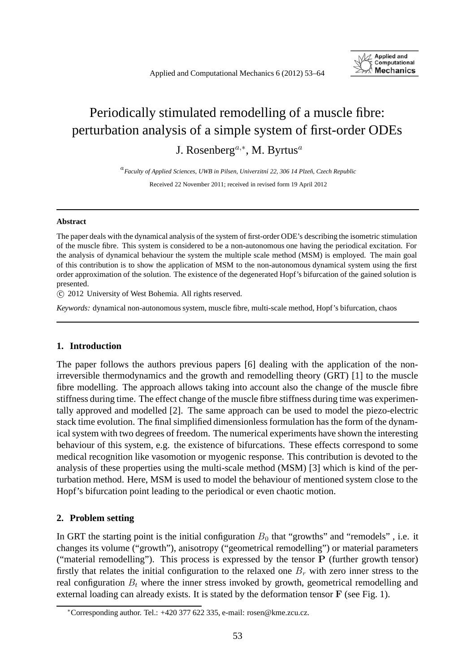

# Periodically stimulated remodelling of a muscle fibre: perturbation analysis of a simple system of first-order ODEs J. Rosenberg<sup>a,∗</sup>, M. Byrtus<sup>a</sup>

<sup>a</sup>*Faculty of Applied Sciences, UWB in Pilsen, Univerzitn´ı 22, 306 14 Plzeˇn, Czech Republic* Received 22 November 2011; received in revised form 19 April 2012

#### **Abstract**

The paper deals with the dynamical analysis of the system of first-order ODE's describing the isometric stimulation of the muscle fibre. This system is considered to be a non-autonomous one having the periodical excitation. For the analysis of dynamical behaviour the system the multiple scale method (MSM) is employed. The main goal of this contribution is to show the application of MSM to the non-autonomous dynamical system using the first order approximation of the solution. The existence of the degenerated Hopf's bifurcation of the gained solution is presented.

c 2012 University of West Bohemia. All rights reserved.

*Keywords:* dynamical non-autonomous system, muscle fibre, multi-scale method, Hopf's bifurcation, chaos

## **1. Introduction**

The paper follows the authors previous papers [6] dealing with the application of the nonirreversible thermodynamics and the growth and remodelling theory (GRT) [1] to the muscle fibre modelling. The approach allows taking into account also the change of the muscle fibre stiffness during time. The effect change of the muscle fibre stiffness during time was experimentally approved and modelled [2]. The same approach can be used to model the piezo-electric stack time evolution. The final simplified dimensionless formulation has the form of the dynamical system with two degrees of freedom. The numerical experiments have shown the interesting behaviour of this system, e.g. the existence of bifurcations. These effects correspond to some medical recognition like vasomotion or myogenic response. This contribution is devoted to the analysis of these properties using the multi-scale method (MSM) [3] which is kind of the perturbation method. Here, MSM is used to model the behaviour of mentioned system close to the Hopf's bifurcation point leading to the periodical or even chaotic motion.

## **2. Problem setting**

In GRT the starting point is the initial configuration  $B_0$  that "growths" and "remodels", i.e. it changes its volume ("growth"), anisotropy ("geometrical remodelling") or material parameters ("material remodelling"). This process is expressed by the tensor **P** (further growth tensor) firstly that relates the initial configuration to the relaxed one  $B_r$  with zero inner stress to the real configuration  $B_t$  where the inner stress invoked by growth, geometrical remodelling and external loading can already exists. It is stated by the deformation tensor **F** (see Fig. 1).

<sup>∗</sup>Corresponding author. Tel.: +420 377 622 335, e-mail: rosen@kme.zcu.cz.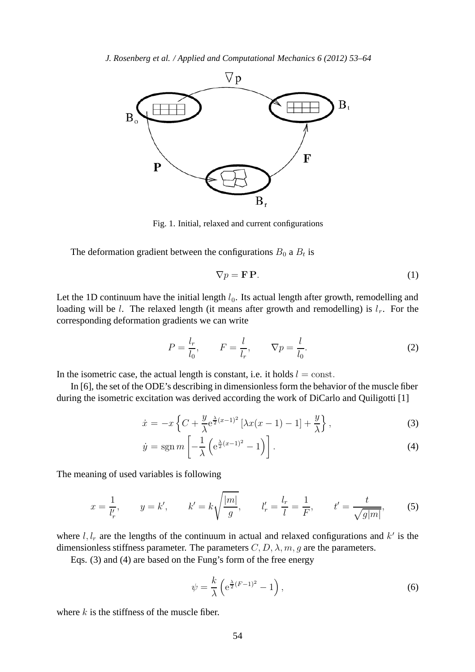

Fig. 1. Initial, relaxed and current configurations

The deformation gradient between the configurations  $B_0$  a  $B_t$  is

$$
\nabla p = \mathbf{F} \, \mathbf{P}.\tag{1}
$$

Let the 1D continuum have the initial length  $l_0$ . Its actual length after growth, remodelling and loading will be *l*. The relaxed length (it means after growth and remodelling) is  $l_r$ . For the corresponding deformation gradients we can write

$$
P = \frac{l_r}{l_0}, \qquad F = \frac{l}{l_r}, \qquad \nabla p = \frac{l}{l_0}.
$$
 (2)

In the isometric case, the actual length is constant, i.e. it holds  $l = \text{const.}$ 

In [6], the set of the ODE's describing in dimensionless form the behavior of the muscle fiber during the isometric excitation was derived according the work of DiCarlo and Quiligotti [1]

$$
\dot{x} = -x \left\{ C + \frac{y}{\lambda} e^{\frac{\lambda}{2}(x-1)^2} \left[ \lambda x(x-1) - 1 \right] + \frac{y}{\lambda} \right\},\tag{3}
$$

$$
\dot{y} = \operatorname{sgn} m \left[ -\frac{1}{\lambda} \left( e^{\frac{\lambda}{2}(x-1)^2} - 1 \right) \right]. \tag{4}
$$

The meaning of used variables is following

$$
x = \frac{1}{l'_r}
$$
,  $y = k'$ ,  $k' = k\sqrt{\frac{|m|}{g}}$ ,  $l'_r = \frac{l_r}{l} = \frac{1}{F}$ ,  $t' = \frac{t}{\sqrt{g|m|}}$ , (5)

where  $l, l_r$  are the lengths of the continuum in actual and relaxed configurations and  $k'$  is the dimensionless stiffness parameter. The parameters  $C, D, \lambda, m, g$  are the parameters.

Eqs. (3) and (4) are based on the Fung's form of the free energy

$$
\psi = \frac{k}{\lambda} \left( e^{\frac{\lambda}{2}(F-1)^2} - 1 \right),\tag{6}
$$

where  $k$  is the stiffness of the muscle fiber.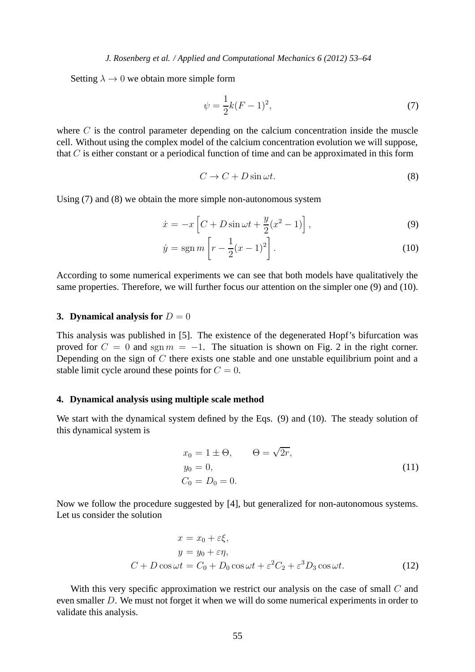Setting  $\lambda \to 0$  we obtain more simple form

$$
\psi = \frac{1}{2}k(F-1)^2,
$$
\n(7)

where  $C$  is the control parameter depending on the calcium concentration inside the muscle cell. Without using the complex model of the calcium concentration evolution we will suppose, that  $C$  is either constant or a periodical function of time and can be approximated in this form

$$
C \to C + D\sin\omega t. \tag{8}
$$

Using (7) and (8) we obtain the more simple non-autonomous system

$$
\dot{x} = -x \left[ C + D \sin \omega t + \frac{y}{2} (x^2 - 1) \right],\tag{9}
$$

$$
\dot{y} = \text{sgn } m \left[ r - \frac{1}{2} (x - 1)^2 \right]. \tag{10}
$$

According to some numerical experiments we can see that both models have qualitatively the same properties. Therefore, we will further focus our attention on the simpler one (9) and (10).

#### **3. Dynamical analysis for**  $D = 0$

This analysis was published in [5]. The existence of the degenerated Hopf's bifurcation was proved for  $C = 0$  and sgn  $m = -1$ . The situation is shown on Fig. 2 in the right corner. Depending on the sign of C there exists one stable and one unstable equilibrium point and a stable limit cycle around these points for  $C = 0$ .

# **4. Dynamical analysis using multiple scale method**

We start with the dynamical system defined by the Eqs. (9) and (10). The steady solution of this dynamical system is

$$
x_0 = 1 \pm \Theta,
$$
  $\Theta = \sqrt{2r},$   
\n $y_0 = 0,$   
\n $C_0 = D_0 = 0.$  (11)

Now we follow the procedure suggested by [4], but generalized for non-autonomous systems. Let us consider the solution

$$
x = x_0 + \varepsilon \xi,
$$
  
\n
$$
y = y_0 + \varepsilon \eta,
$$
  
\n
$$
C + D \cos \omega t = C_0 + D_0 \cos \omega t + \varepsilon^2 C_2 + \varepsilon^3 D_3 \cos \omega t.
$$
 (12)

With this very specific approximation we restrict our analysis on the case of small  $C$  and even smaller D. We must not forget it when we will do some numerical experiments in order to validate this analysis.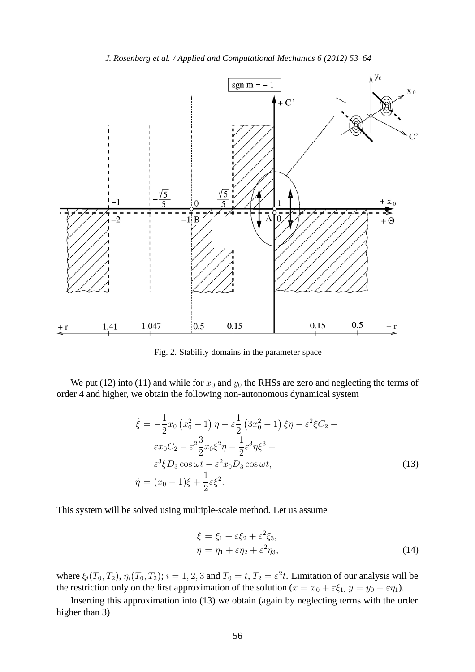*J. Rosenberg et al. / Applied and Computational Mechanics 6 (2012) 53–64*



Fig. 2. Stability domains in the parameter space

We put (12) into (11) and while for  $x_0$  and  $y_0$  the RHSs are zero and neglecting the terms of order 4 and higher, we obtain the following non-autonomous dynamical system

$$
\dot{\xi} = -\frac{1}{2}x_0 (x_0^2 - 1) \eta - \varepsilon \frac{1}{2} (3x_0^2 - 1) \xi \eta - \varepsilon^2 \xi C_2 - \varepsilon x_0 C_2 - \varepsilon^2 \frac{3}{2} x_0 \xi^2 \eta - \frac{1}{2} \varepsilon^3 \eta \xi^3 - \varepsilon^3 \xi D_3 \cos \omega t - \varepsilon^2 x_0 D_3 \cos \omega t,
$$
\n
$$
\dot{\eta} = (x_0 - 1)\xi + \frac{1}{2} \varepsilon \xi^2.
$$
\n(13)

This system will be solved using multiple-scale method. Let us assume

$$
\xi = \xi_1 + \varepsilon \xi_2 + \varepsilon^2 \xi_3, \n\eta = \eta_1 + \varepsilon \eta_2 + \varepsilon^2 \eta_3,
$$
\n(14)

where  $\xi_i(T_0, T_2)$ ,  $\eta_i(T_0, T_2)$ ;  $i = 1, 2, 3$  and  $T_0 = t$ ,  $T_2 = \varepsilon^2 t$ . Limitation of our analysis will be the restriction only on the first approximation of the solution ( $x = x_0 + \varepsilon \xi_1$ ,  $y = y_0 + \varepsilon \eta_1$ ).

Inserting this approximation into (13) we obtain (again by neglecting terms with the order higher than 3)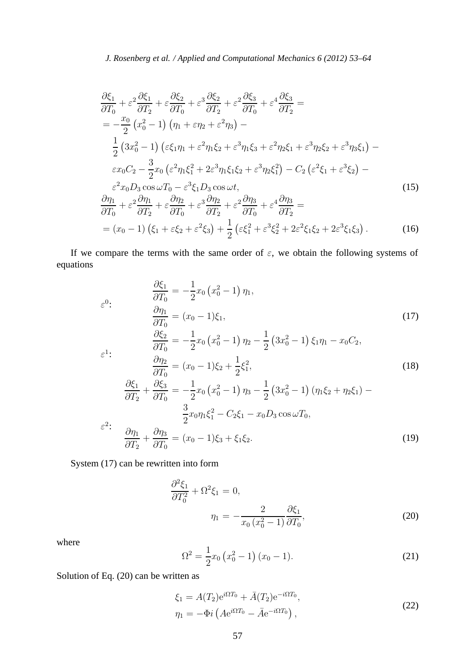$$
\frac{\partial \xi_1}{\partial T_0} + \varepsilon^2 \frac{\partial \xi_1}{\partial T_2} + \varepsilon^3 \frac{\partial \xi_2}{\partial T_2} + \varepsilon^3 \frac{\partial \xi_2}{\partial T_2} + \varepsilon^2 \frac{\partial \xi_3}{\partial T_0} + \varepsilon^4 \frac{\partial \xi_3}{\partial T_2} =
$$
\n
$$
= -\frac{x_0}{2} (x_0^2 - 1) ( \eta_1 + \varepsilon \eta_2 + \varepsilon^2 \eta_3 ) -
$$
\n
$$
\frac{1}{2} (3x_0^2 - 1) (\varepsilon \xi_1 \eta_1 + \varepsilon^2 \eta_1 \xi_2 + \varepsilon^3 \eta_1 \xi_3 + \varepsilon^2 \eta_2 \xi_1 + \varepsilon^3 \eta_2 \xi_2 + \varepsilon^3 \eta_3 \xi_1 ) -
$$
\n
$$
\varepsilon x_0 C_2 - \frac{3}{2} x_0 (\varepsilon^2 \eta_1 \xi_1^2 + 2\varepsilon^3 \eta_1 \xi_1 \xi_2 + \varepsilon^3 \eta_2 \xi_1^2 ) - C_2 (\varepsilon^2 \xi_1 + \varepsilon^3 \xi_2 ) -
$$
\n
$$
\varepsilon^2 x_0 D_3 \cos \omega T_0 - \varepsilon^3 \xi_1 D_3 \cos \omega t,
$$
\n
$$
\frac{\partial \eta_1}{\partial T_0} + \varepsilon^2 \frac{\partial \eta_1}{\partial T_2} + \varepsilon \frac{\partial \eta_2}{\partial T_0} + \varepsilon^3 \frac{\partial \eta_2}{\partial T_2} + \varepsilon^2 \frac{\partial \eta_3}{\partial T_0} + \varepsilon^4 \frac{\partial \eta_3}{\partial T_2} =
$$
\n
$$
= (x_0 - 1) (\xi_1 + \varepsilon \xi_2 + \varepsilon^2 \xi_3) + \frac{1}{2} (\varepsilon \xi_1^2 + \varepsilon^3 \xi_2^2 + 2\varepsilon^2 \xi_1 \xi_2 + 2\varepsilon^3 \xi_1 \xi_3 ).
$$
\n(16)

If we compare the terms with the same order of  $\varepsilon$ , we obtain the following systems of equations

$$
\frac{\partial \xi_1}{\partial T_0} = -\frac{1}{2} x_0 (x_0^2 - 1) \eta_1,
$$
\n
$$
\frac{\partial \eta_1}{\partial T_0} = (x_0 - 1)\xi_1,
$$
\n
$$
\frac{\partial \xi_2}{\partial T_0} = -\frac{1}{2} x_0 (x_0^2 - 1) \eta_2 - \frac{1}{2} (3x_0^2 - 1) \xi_1 \eta_1 - x_0 C_2,
$$
\n
$$
\varepsilon^1:
$$
\n
$$
\frac{\partial \eta_2}{\partial T_0} = (x_0 - 1)\xi_2 + \frac{1}{2}\xi_1^2,
$$
\n
$$
\frac{\partial \xi_1}{\partial T_2} + \frac{\partial \xi_3}{\partial T_0} = -\frac{1}{2} x_0 (x_0^2 - 1) \eta_3 - \frac{1}{2} (3x_0^2 - 1) (\eta_1 \xi_2 + \eta_2 \xi_1) - \frac{3}{2} x_0 \eta_1 \xi_1^2 - C_2 \xi_1 - x_0 D_3 \cos \omega T_0,
$$
\n
$$
\varepsilon^2:
$$
\n
$$
\frac{\partial \eta_1}{\partial T_2} + \frac{\partial \eta_3}{\partial T_0} = (x_0 - 1)\xi_3 + \xi_1 \xi_2.
$$
\n(19)

System (17) can be rewritten into form

$$
\frac{\partial^2 \xi_1}{\partial T_0^2} + \Omega^2 \xi_1 = 0,
$$
  

$$
\eta_1 = -\frac{2}{x_0 (x_0^2 - 1)} \frac{\partial \xi_1}{\partial T_0},
$$
 (20)

where

$$
\Omega^2 = \frac{1}{2}x_0 \left(x_0^2 - 1\right)(x_0 - 1). \tag{21}
$$

Solution of Eq. (20) can be written as

$$
\xi_1 = A(T_2)e^{i\Omega T_0} + \bar{A}(T_2)e^{-i\Omega T_0},
$$
  
\n
$$
\eta_1 = -\Phi i \left( A e^{i\Omega T_0} - \bar{A} e^{-i\Omega T_0} \right),
$$
\n(22)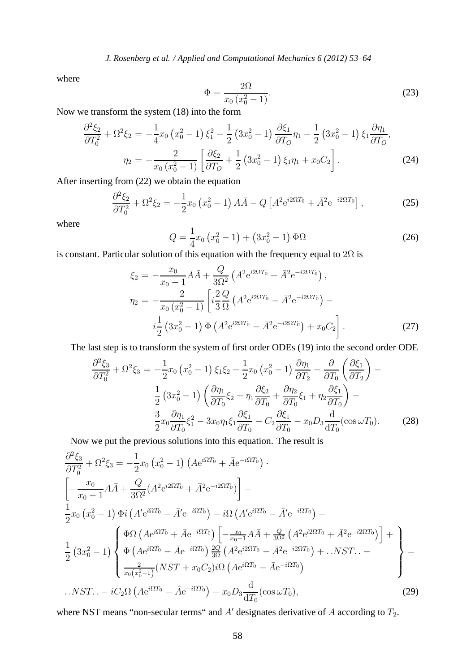*J. Rosenberg et al. / Applied and Computational Mechanics 6 (2012) 53–64*

where

$$
\Phi = \frac{2\Omega}{x_0 (x_0^2 - 1)}.
$$
\n(23)

Now we transform the system (18) into the form

$$
\frac{\partial^2 \xi_2}{\partial T_0^2} + \Omega^2 \xi_2 = -\frac{1}{4} x_0 \left( x_0^2 - 1 \right) \xi_1^2 - \frac{1}{2} \left( 3x_0^2 - 1 \right) \frac{\partial \xi_1}{\partial T_0} \eta_1 - \frac{1}{2} \left( 3x_0^2 - 1 \right) \xi_1 \frac{\partial \eta_1}{\partial T_0},
$$
  

$$
\eta_2 = -\frac{2}{x_0 \left( x_0^2 - 1 \right)} \left[ \frac{\partial \xi_2}{\partial T_0} + \frac{1}{2} \left( 3x_0^2 - 1 \right) \xi_1 \eta_1 + x_0 C_2 \right].
$$
 (24)

After inserting from (22) we obtain the equation

$$
\frac{\partial^2 \xi_2}{\partial T_0^2} + \Omega^2 \xi_2 = -\frac{1}{2} x_0 \left( x_0^2 - 1 \right) A \bar{A} - Q \left[ A^2 e^{i 2\Omega T_0} + \bar{A}^2 e^{-i 2\Omega T_0} \right],\tag{25}
$$

where

$$
Q = \frac{1}{4}x_0\left(x_0^2 - 1\right) + \left(3x_0^2 - 1\right)\Phi\Omega\tag{26}
$$

is constant. Particular solution of this equation with the frequency equal to  $2\Omega$  is

$$
\xi_2 = -\frac{x_0}{x_0 - 1} A \bar{A} + \frac{Q}{3\Omega^2} \left( A^2 e^{i2\Omega T_0} + \bar{A}^2 e^{-i2\Omega T_0} \right),
$$
  
\n
$$
\eta_2 = -\frac{2}{x_0 \left( x_0^2 - 1 \right)} \left[ i \frac{2 Q}{3 \Omega} \left( A^2 e^{i2\Omega T_0} - \bar{A}^2 e^{-i2\Omega T_0} \right) - i \frac{1}{2} \left( 3x_0^2 - 1 \right) \Phi \left( A^2 e^{i2\Omega T_0} - \bar{A}^2 e^{-i2\Omega T_0} \right) + x_0 C_2 \right].
$$
\n(27)

The last step is to transform the system of first order ODEs (19) into the second order ODE

$$
\frac{\partial^2 \xi_3}{\partial T_0^2} + \Omega^2 \xi_3 = -\frac{1}{2} x_0 \left( x_0^2 - 1 \right) \xi_1 \xi_2 + \frac{1}{2} x_0 \left( x_0^2 - 1 \right) \frac{\partial \eta_1}{\partial T_2} - \frac{\partial}{\partial T_0} \left( \frac{\partial \xi_1}{\partial T_2} \right) -
$$

$$
\frac{1}{2} \left( 3x_0^2 - 1 \right) \left( \frac{\partial \eta_1}{\partial T_0} \xi_2 + \eta_1 \frac{\partial \xi_2}{\partial T_0} + \frac{\partial \eta_2}{\partial T_0} \xi_1 + \eta_2 \frac{\partial \xi_1}{\partial T_0} \right) -
$$

$$
\frac{3}{2} x_0 \frac{\partial \eta_1}{\partial T_0} \xi_1^2 - 3x_0 \eta_1 \xi_1 \frac{\partial \xi_1}{\partial T_0} - C_2 \frac{\partial \xi_1}{\partial T_0} - x_0 D_3 \frac{\mathrm{d}}{\mathrm{d} T_0} (\cos \omega T_0). \tag{28}
$$

Now we put the previous solutions into this equation. The result is

$$
\frac{\partial^2 \xi_3}{\partial T_0^2} + \Omega^2 \xi_3 = -\frac{1}{2} x_0 \left( x_0^2 - 1 \right) \left( A e^{i \Omega T_0} + \bar{A} e^{-i \Omega T_0} \right) \cdot \n\left[ -\frac{x_0}{x_0 - 1} A \bar{A} + \frac{Q}{3\Omega^2} (A^2 e^{i 2\Omega T_0} + \bar{A}^2 e^{-i 2\Omega T_0}) \right] - \n\frac{1}{2} x_0 \left( x_0^2 - 1 \right) \Phi i \left( A' e^{i \Omega T_0} - \bar{A}' e^{-i \Omega T_0} \right) - i \Omega \left( A' e^{i \Omega T_0} - \bar{A}' e^{-i \Omega T_0} \right) - \n\frac{1}{2} \left( 3x_0^2 - 1 \right) \left\{ \Phi \left( A e^{i \Omega T_0} - \bar{A} e^{-i \Omega T_0} \right) \left[ -\frac{x_0}{x_0 - 1} A \bar{A} + \frac{Q}{3\Omega^2} \left( A^2 e^{i 2\Omega T_0} + \bar{A}^2 e^{-i 2\Omega T_0} \right) \right] + \n\frac{1}{2} \left( 3x_0^2 - 1 \right) \left\{ \Phi \left( A e^{i \Omega T_0} - \bar{A} e^{-i \Omega T_0} \right) \frac{2Q}{3\Omega} \left( A^2 e^{i 2\Omega T_0} - \bar{A}^2 e^{-i 2\Omega T_0} \right) + \dots N S T \dots - \right\} - \n\frac{1}{x_0 (x_0^2 - 1)} (N S T + x_0 C_2) i \Omega \left( A e^{i \Omega T_0} - \bar{A} e^{-i \Omega T_0} \right) \right\} - N S T \dots - i C_2 \Omega \left( A e^{i \Omega T_0} - \bar{A} e^{-i \Omega T_0} \right) - x_0 D_3 \frac{d}{d T_0} (\cos \omega T_0), \tag{29}
$$

where NST means "non-secular terms" and  $A'$  designates derivative of  $A$  according to  $T_2$ .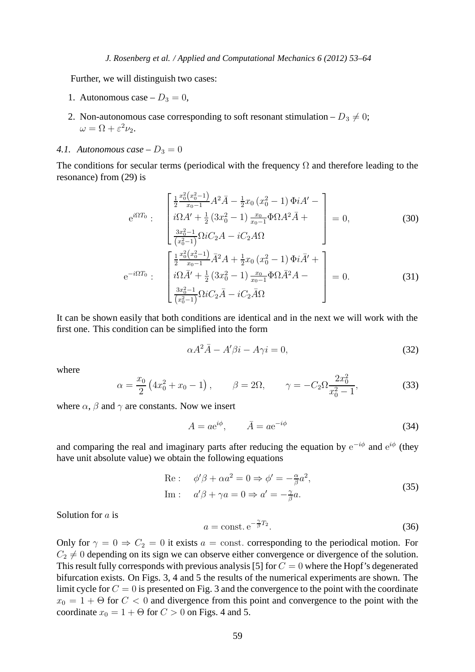Further, we will distinguish two cases:

- 1. Autonomous case  $-D_3 = 0$ ,
- 2. Non-autonomous case corresponding to soft resonant stimulation  $D_3 \neq 0$ ;  $\omega = \Omega + \varepsilon^2 \nu_2.$
- 4.1. Autonomous case  $-D_3 = 0$

The conditions for secular terms (periodical with the frequency  $\Omega$  and therefore leading to the resonance) from (29) is

$$
e^{i\Omega T_0}: \begin{bmatrix} \frac{1}{2} \frac{x_0^2 (x_0^2 - 1)}{x_0 - 1} A^2 \bar{A} - \frac{1}{2} x_0 (x_0^2 - 1) \Phi i A' - \\ i\Omega A' + \frac{1}{2} (3x_0^2 - 1) \frac{x_0}{x_0 - 1} \Phi \Omega A^2 \bar{A} + \\ \frac{3x_0^2 - 1}{(x_0^2 - 1)} \Omega i C_2 A - iC_2 A \Omega \end{bmatrix} = 0, \qquad (30)
$$

$$
e^{-i\Omega T_0}: \begin{bmatrix} \frac{1}{2} \frac{x_0^2 (x_0^2 - 1)}{x_0 - 1} \bar{A}^2 A + \frac{1}{2} x_0 (x_0^2 - 1) \Phi i \bar{A}' + \\ i\Omega \bar{A}' + \frac{1}{2} (3x_0^2 - 1) \frac{x_0}{x_0 - 1} \Phi \Omega \bar{A}^2 A - \\ \frac{3x_0^2 - 1}{(x_0^2 - 1)} \Omega i C_2 \bar{A} - iC_2 \bar{A} \Omega \end{bmatrix} = 0. \qquad (31)
$$

It can be shown easily that both conditions are identical and in the next we will work with the first one. This condition can be simplified into the form

$$
\alpha A^2 \bar{A} - A' \beta i - A \gamma i = 0,\tag{32}
$$

where

$$
\alpha = \frac{x_0}{2} \left( 4x_0^2 + x_0 - 1 \right), \qquad \beta = 2\Omega, \qquad \gamma = -C_2 \Omega \frac{2x_0^2}{x_0^2 - 1}, \tag{33}
$$

where  $\alpha$ ,  $\beta$  and  $\gamma$  are constants. Now we insert

$$
A = ae^{i\phi}, \qquad \bar{A} = ae^{-i\phi} \tag{34}
$$

and comparing the real and imaginary parts after reducing the equation by  $e^{-i\phi}$  and  $e^{i\phi}$  (they have unit absolute value) we obtain the following equations

Re: 
$$
\phi'\beta + \alpha a^2 = 0 \Rightarrow \phi' = -\frac{\alpha}{\beta}a^2
$$
,  
Im:  $a'\beta + \gamma a = 0 \Rightarrow a' = -\frac{\gamma}{\beta}a$ . (35)

Solution for a is

$$
a = \text{const.} \,\mathrm{e}^{-\frac{\gamma}{\beta}T_2}.\tag{36}
$$

Only for  $\gamma = 0 \Rightarrow C_2 = 0$  it exists  $a = \text{const.}$  corresponding to the periodical motion. For  $C_2 \neq 0$  depending on its sign we can observe either convergence or divergence of the solution. This result fully corresponds with previous analysis [5] for  $C = 0$  where the Hopf's degenerated bifurcation exists. On Figs. 3, 4 and 5 the results of the numerical experiments are shown. The limit cycle for  $C = 0$  is presented on Fig. 3 and the convergence to the point with the coordinate  $x_0 = 1 + \Theta$  for  $C < 0$  and divergence from this point and convergence to the point with the coordinate  $x_0 = 1 + \Theta$  for  $C > 0$  on Figs. 4 and 5.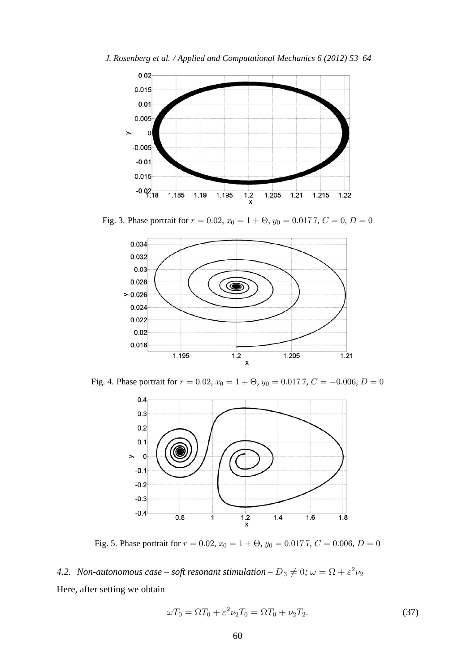



Fig. 3. Phase portrait for  $r = 0.02$ ,  $x_0 = 1 + \Theta$ ,  $y_0 = 0.0177$ ,  $C = 0$ ,  $D = 0$ 



Fig. 4. Phase portrait for  $r = 0.02$ ,  $x_0 = 1 + \Theta$ ,  $y_0 = 0.0177$ ,  $C = -0.006$ ,  $D = 0$ 



Fig. 5. Phase portrait for  $r = 0.02$ ,  $x_0 = 1 + \Theta$ ,  $y_0 = 0.0177$ ,  $C = 0.006$ ,  $D = 0$ 

*4.2. Non-autonomous case – soft resonant stimulation –*  $D_3 \neq 0$ *;*  $\omega = \Omega + \varepsilon^2 \nu_2$ Here, after setting we obtain

 $\omega T_0 = \Omega T_0 + \varepsilon^2 \nu_2 T_0 = \Omega T_0 + \nu_2 T_2.$  (37)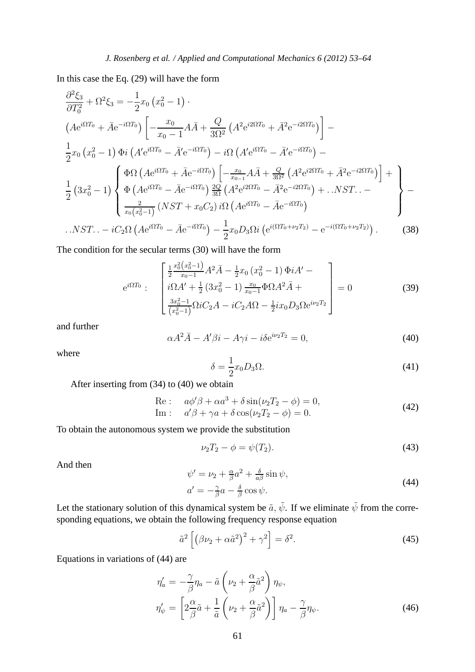In this case the Eq. (29) will have the form

$$
\frac{\partial^2 \xi_3}{\partial T_0^2} + \Omega^2 \xi_3 = -\frac{1}{2} x_0 \left( x_0^2 - 1 \right) .
$$
\n
$$
\left( A e^{i\Omega T_0} + \bar{A} e^{-i\Omega T_0} \right) \left[ -\frac{x_0}{x_0 - 1} A \bar{A} + \frac{Q}{3\Omega^2} \left( A^2 e^{i2\Omega T_0} + \bar{A}^2 e^{-i2\Omega T_0} \right) \right] -
$$
\n
$$
\frac{1}{2} x_0 \left( x_0^2 - 1 \right) \Phi i \left( A' e^{i\Omega T_0} - \bar{A}' e^{-i\Omega T_0} \right) - i\Omega \left( A' e^{i\Omega T_0} - \bar{A}' e^{-i\Omega T_0} \right) -
$$
\n
$$
\frac{1}{2} \left( 3x_0^2 - 1 \right) \left\{ \Phi \left( A e^{i\Omega T_0} - \bar{A} e^{-i\Omega T_0} \right) \left[ -\frac{x_0}{x_{0-1}} A \bar{A} + \frac{Q}{3\Omega^2} \left( A^2 e^{i2\Omega T_0} + \bar{A}^2 e^{-i2\Omega T_0} \right) \right] +
$$
\n
$$
\frac{1}{2} \left( 3x_0^2 - 1 \right) \left\{ \Phi \left( A e^{i\Omega T_0} - \bar{A} e^{-i\Omega T_0} \right) \frac{2Q}{3\Omega} \left( A^2 e^{i2\Omega T_0} - \bar{A}^2 e^{-i2\Omega T_0} \right) + \dots NST \dots - \right\} -
$$
\n
$$
\frac{2}{x_0 \left( x_0^2 - 1 \right)} \left( NST + x_0 C_2 \right) i\Omega \left( A e^{i\Omega T_0} - \bar{A} e^{-i\Omega T_0} \right)
$$
\n
$$
\dots NST \dots - iC_2 \Omega \left( A e^{i\Omega T_0} - \bar{A} e^{-i\Omega T_0} \right) - \frac{1}{2} x_0 D_3 \Omega i \left( e^{i\Omega T_0 + \nu_2 T_2} \right) - e^{-i\Omega T_0 + \nu_2 T_2} \right). \tag{38}
$$

The condition for the secular terms (30) will have the form

$$
e^{i\Omega T_0}: \begin{bmatrix} \frac{1}{2} \frac{x_0^2 (x_0^2 - 1)}{x_0 - 1} A^2 \bar{A} - \frac{1}{2} x_0 (x_0^2 - 1) \Phi i A' - \\ i\Omega A' + \frac{1}{2} (3x_0^2 - 1) \frac{x_0}{x_0 - 1} \Phi \Omega A^2 \bar{A} + \\ \frac{3x_0^2 - 1}{(x_0^2 - 1)} \Omega i C_2 A - iC_2 A \Omega - \frac{1}{2} i x_0 D_3 \Omega e^{i\nu_2 T_2} \end{bmatrix} = 0 \tag{39}
$$

and further

$$
\alpha A^2 \overline{A} - A' \beta i - A \gamma i - i \delta e^{i\nu_2 T_2} = 0,\tag{40}
$$

where

$$
\delta = \frac{1}{2}x_0 D_3 \Omega. \tag{41}
$$

After inserting from (34) to (40) we obtain

Re: 
$$
a\phi'\beta + \alpha a^3 + \delta \sin(\nu_2 T_2 - \phi) = 0
$$
,  
Im:  $a'\beta + \gamma a + \delta \cos(\nu_2 T_2 - \phi) = 0$ . (42)

To obtain the autonomous system we provide the substitution

$$
\nu_2 T_2 - \phi = \psi(T_2). \tag{43}
$$

And then

$$
\psi' = \nu_2 + \frac{\alpha}{\beta} a^2 + \frac{\delta}{a\beta} \sin \psi,
$$
  
\n
$$
a' = -\frac{\gamma}{\beta} a - \frac{\delta}{\beta} \cos \psi.
$$
\n(44)

Let the stationary solution of this dynamical system be  $\tilde{a}$ ,  $\tilde{\psi}$ . If we eliminate  $\tilde{\psi}$  from the corresponding equations, we obtain the following frequency response equation

$$
\tilde{a}^2 \left[ \left( \beta \nu_2 + \alpha \tilde{a}^2 \right)^2 + \gamma^2 \right] = \delta^2. \tag{45}
$$

Equations in variations of (44) are

$$
\eta_a' = -\frac{\gamma}{\beta} \eta_a - \tilde{a} \left( \nu_2 + \frac{\alpha}{\beta} \tilde{a}^2 \right) \eta_\psi,
$$
  

$$
\eta_\psi' = \left[ 2 \frac{\alpha}{\beta} \tilde{a} + \frac{1}{\tilde{a}} \left( \nu_2 + \frac{\alpha}{\beta} \tilde{a}^2 \right) \right] \eta_a - \frac{\gamma}{\beta} \eta_\psi.
$$
(46)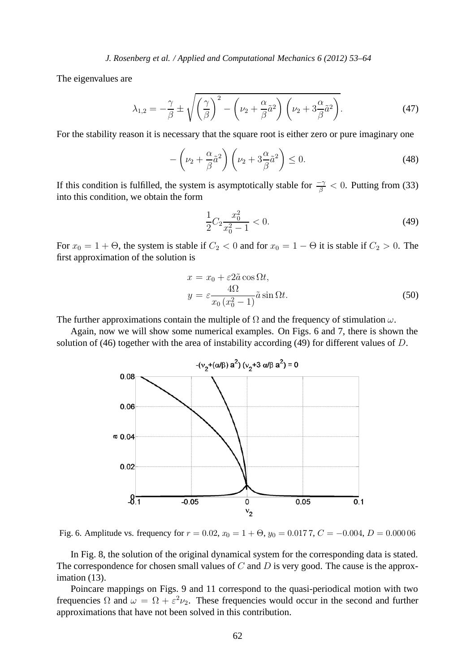The eigenvalues are

$$
\lambda_{1,2} = -\frac{\gamma}{\beta} \pm \sqrt{\left(\frac{\gamma}{\beta}\right)^2 - \left(\nu_2 + \frac{\alpha}{\beta}\tilde{a}^2\right)\left(\nu_2 + 3\frac{\alpha}{\beta}\tilde{a}^2\right)}.
$$
 (47)

For the stability reason it is necessary that the square root is either zero or pure imaginary one

$$
-\left(\nu_2 + \frac{\alpha}{\beta}\tilde{a}^2\right)\left(\nu_2 + 3\frac{\alpha}{\beta}\tilde{a}^2\right) \le 0.
$$
\n(48)

If this condition is fulfilled, the system is asymptotically stable for  $\frac{-\gamma}{\beta} < 0$ . Putting from (33) into this condition, we obtain the form

$$
\frac{1}{2}C_2 \frac{x_0^2}{x_0^2 - 1} < 0. \tag{49}
$$

For  $x_0 = 1 + \Theta$ , the system is stable if  $C_2 < 0$  and for  $x_0 = 1 - \Theta$  it is stable if  $C_2 > 0$ . The first approximation of the solution is

$$
x = x_0 + \varepsilon 2\tilde{a} \cos \Omega t,
$$
  
\n
$$
y = \varepsilon \frac{4\Omega}{x_0 (x_0^2 - 1)} \tilde{a} \sin \Omega t.
$$
 (50)

The further approximations contain the multiple of  $\Omega$  and the frequency of stimulation  $\omega$ .

Again, now we will show some numerical examples. On Figs. 6 and 7, there is shown the solution of (46) together with the area of instability according (49) for different values of D.



Fig. 6. Amplitude vs. frequency for  $r = 0.02$ ,  $x_0 = 1 + \Theta$ ,  $y_0 = 0.0177$ ,  $C = -0.004$ ,  $D = 0.00006$ 

In Fig. 8, the solution of the original dynamical system for the corresponding data is stated. The correspondence for chosen small values of  $C$  and  $D$  is very good. The cause is the approximation (13).

Poincare mappings on Figs. 9 and 11 correspond to the quasi-periodical motion with two frequencies  $\Omega$  and  $\omega = \Omega + \varepsilon^2 \nu_2$ . These frequencies would occur in the second and further approximations that have not been solved in this contribution.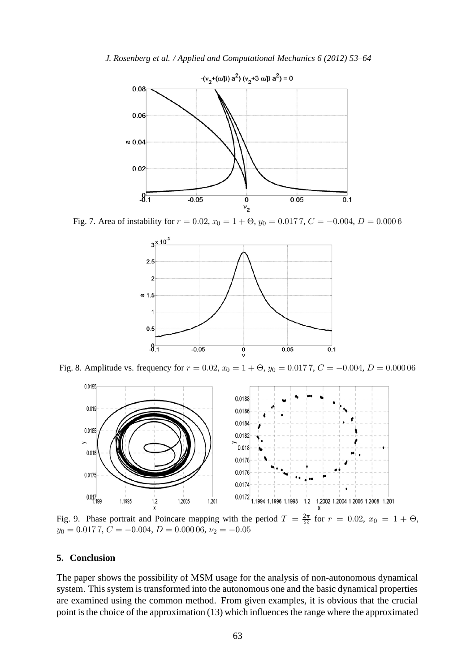*J. Rosenberg et al. / Applied and Computational Mechanics 6 (2012) 53–64*



Fig. 7. Area of instability for  $r = 0.02$ ,  $x_0 = 1 + \Theta$ ,  $y_0 = 0.0177$ ,  $C = -0.004$ ,  $D = 0.0006$ 



Fig. 8. Amplitude vs. frequency for  $r = 0.02$ ,  $x_0 = 1 + \Theta$ ,  $y_0 = 0.0177$ ,  $C = -0.004$ ,  $D = 0.00006$ 



Fig. 9. Phase portrait and Poincare mapping with the period  $T = \frac{2\pi}{\Omega}$  for  $r = 0.02$ ,  $x_0 = 1 + \Theta$ ,  $y_0 = 0.0177$ ,  $C = -0.004$ ,  $D = 0.00006$ ,  $\nu_2 = -0.05$ 

#### **5. Conclusion**

The paper shows the possibility of MSM usage for the analysis of non-autonomous dynamical system. This system is transformed into the autonomous one and the basic dynamical properties are examined using the common method. From given examples, it is obvious that the crucial point is the choice of the approximation (13) which influences the range where the approximated